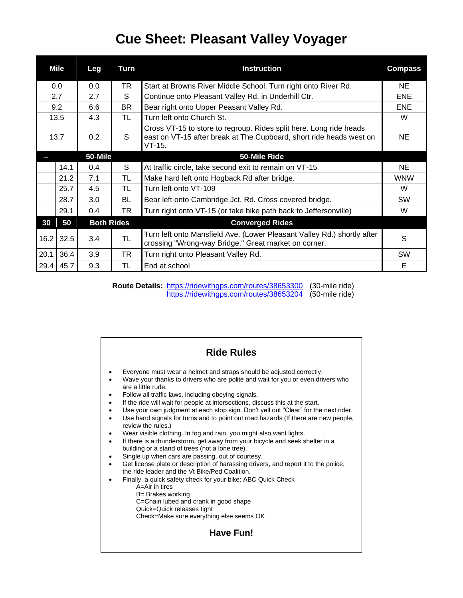## **Cue Sheet: Pleasant Valley Voyager**

|      | Mile | Leg               | Turn      | <b>Instruction</b>                                                                                                                                    | <b>Compass</b> |
|------|------|-------------------|-----------|-------------------------------------------------------------------------------------------------------------------------------------------------------|----------------|
| 0.0  |      | 0.0               | TR        | Start at Browns River Middle School. Turn right onto River Rd.                                                                                        | NE             |
| 2.7  |      | 2.7               | S         | Continue onto Pleasant Valley Rd. in Underhill Ctr.                                                                                                   | <b>ENE</b>     |
| 9.2  |      | 6.6               | BR.       | Bear right onto Upper Peasant Valley Rd.                                                                                                              | <b>ENE</b>     |
| 13.5 |      | 4.3               | TL        | Turn left onto Church St.                                                                                                                             | W              |
| 13.7 |      | 0.2               | S         | Cross VT-15 to store to regroup. Rides split here. Long ride heads<br>east on VT-15 after break at The Cupboard, short ride heads west on<br>$VT-15.$ | NE             |
|      |      | 50-Mile           |           | 50-Mile Ride                                                                                                                                          |                |
|      | 14.1 | 0.4               | S         | At traffic circle, take second exit to remain on VT-15                                                                                                | NE             |
|      | 21.2 | 7.1               | <b>TL</b> | Make hard left onto Hogback Rd after bridge.                                                                                                          | <b>WNW</b>     |
|      | 25.7 | 4.5               | TL        | Turn left onto VT-109                                                                                                                                 | W              |
|      | 28.7 | 3.0               | BL        | Bear left onto Cambridge Jct. Rd. Cross covered bridge.                                                                                               | <b>SW</b>      |
|      | 29.1 | 0.4               | TR        | Turn right onto VT-15 (or take bike path back to Jeffersonville)                                                                                      | W              |
| 30   | 50   | <b>Both Rides</b> |           | <b>Converged Rides</b>                                                                                                                                |                |
| 16.2 | 32.5 | 3.4               | <b>TL</b> | Turn left onto Mansfield Ave. (Lower Pleasant Valley Rd.) shortly after<br>crossing "Wrong-way Bridge." Great market on corner.                       | S              |
| 20.1 | 36.4 | 3.9               | TR        | Turn right onto Pleasant Valley Rd.                                                                                                                   | <b>SW</b>      |
| 29.4 | 45.7 | 9.3               | TL        | End at school                                                                                                                                         | Е              |

**Route Details:** <https://ridewithgps.com/routes/38653300> (30-mile ride)<br>https://ridewithgps.com/routes/38653204 (50-mile ride) <https://ridewithgps.com/routes/38653204>

| <b>Ride Rules</b>                                                                                                                                                                                                                                                                                                                                                                                                                                                                                                                                                                                                                                                                                                                                                                                                                                                                                                                                                                                                                                                                                                                                                                  |
|------------------------------------------------------------------------------------------------------------------------------------------------------------------------------------------------------------------------------------------------------------------------------------------------------------------------------------------------------------------------------------------------------------------------------------------------------------------------------------------------------------------------------------------------------------------------------------------------------------------------------------------------------------------------------------------------------------------------------------------------------------------------------------------------------------------------------------------------------------------------------------------------------------------------------------------------------------------------------------------------------------------------------------------------------------------------------------------------------------------------------------------------------------------------------------|
| Everyone must wear a helmet and straps should be adjusted correctly.<br>Wave your thanks to drivers who are polite and wait for you or even drivers who<br>are a little rude.<br>Follow all traffic laws, including obeying signals.<br>If the ride will wait for people at intersections, discuss this at the start.<br>Use your own judgment at each stop sign. Don't yell out "Clear" for the next rider.<br>Use hand signals for turns and to point out road hazards (If there are new people,<br>review the rules.)<br>Wear visible clothing. In fog and rain, you might also want lights.<br>If there is a thunderstorm, get away from your bicycle and seek shelter in a<br>building or a stand of trees (not a lone tree).<br>Single up when cars are passing, out of courtesy.<br>Get license plate or description of harassing drivers, and report it to the police,<br>the ride leader and the Vt Bike/Ped Coalition.<br>Finally, a quick safety check for your bike: ABC Quick Check<br>$A = Air$ in tires<br>B= Brakes working<br>C=Chain lubed and crank in good shape<br>Quick=Quick releases tight<br>Check=Make sure everything else seems OK<br><b>Have Fun!</b> |